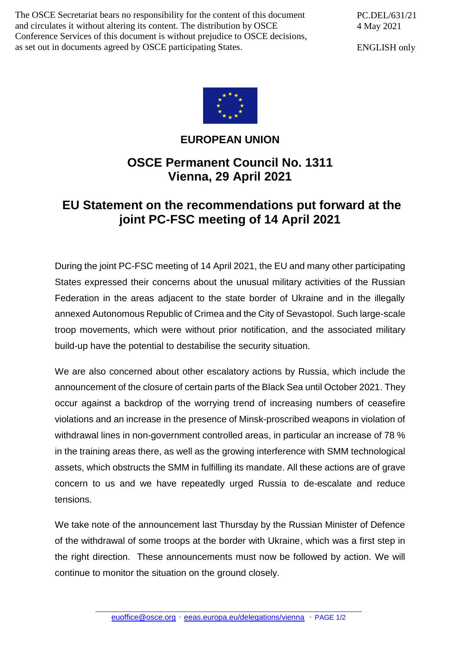The OSCE Secretariat bears no responsibility for the content of this document and circulates it without altering its content. The distribution by OSCE Conference Services of this document is without prejudice to OSCE decisions, as set out in documents agreed by OSCE participating States.

PC.DEL/631/21 4 May 2021

ENGLISH only



## **EUROPEAN UNION**

## **OSCE Permanent Council No. 1311 Vienna, 29 April 2021**

## **EU Statement on the recommendations put forward at the joint PC-FSC meeting of 14 April 2021**

During the joint PC-FSC meeting of 14 April 2021, the EU and many other participating States expressed their concerns about the unusual military activities of the Russian Federation in the areas adjacent to the state border of Ukraine and in the illegally annexed Autonomous Republic of Crimea and the City of Sevastopol. Such large-scale troop movements, which were without prior notification, and the associated military build-up have the potential to destabilise the security situation.

We are also concerned about other escalatory actions by Russia, which include the announcement of the closure of certain parts of the Black Sea until October 2021. They occur against a backdrop of the worrying trend of increasing numbers of ceasefire violations and an increase in the presence of Minsk-proscribed weapons in violation of withdrawal lines in non-government controlled areas, in particular an increase of 78 % in the training areas there, as well as the growing interference with SMM technological assets, which obstructs the SMM in fulfilling its mandate. All these actions are of grave concern to us and we have repeatedly urged Russia to de-escalate and reduce tensions.

We take note of the announcement last Thursday by the Russian Minister of Defence of the withdrawal of some troops at the border with Ukraine, which was a first step in the right direction. These announcements must now be followed by action. We will continue to monitor the situation on the ground closely.